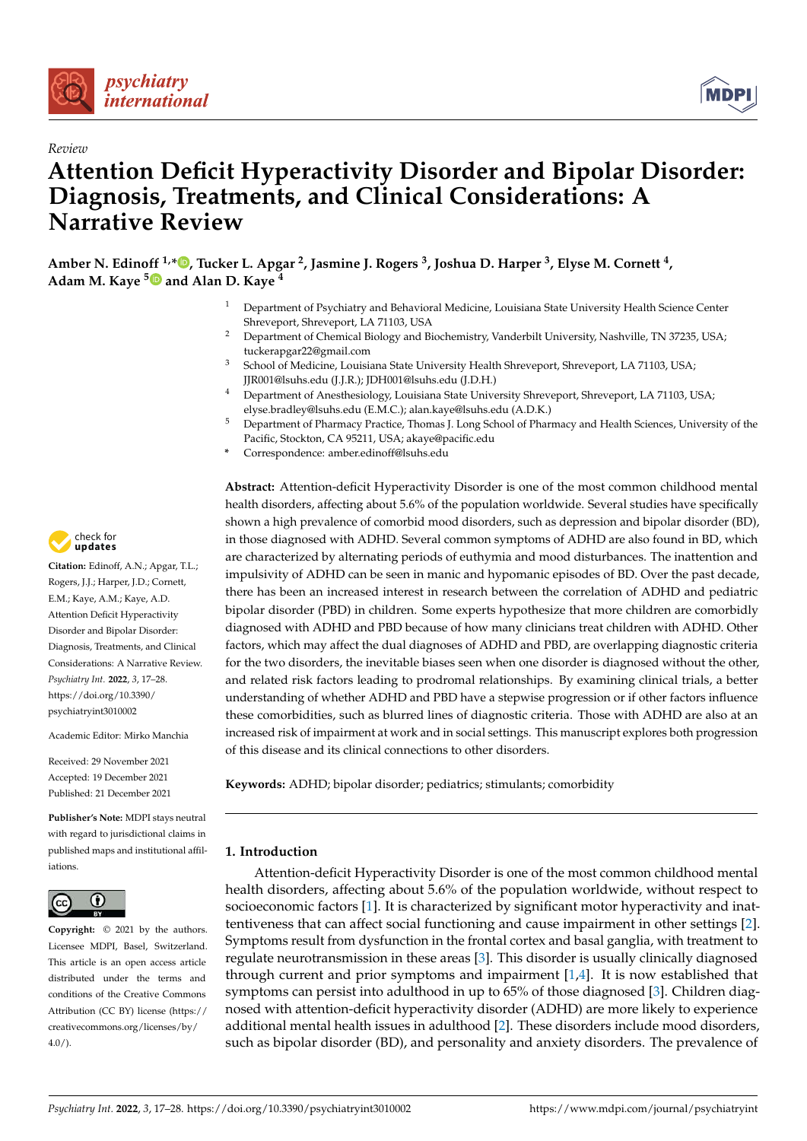



# *Review* **Attention Deficit Hyperactivity Disorder and Bipolar Disorder: Diagnosis, Treatments, and Clinical Considerations: A Narrative Review**

**Amber N. Edinoff 1,\* [,](https://orcid.org/0000-0001-7436-6206) Tucker L. Apgar <sup>2</sup> , Jasmine J. Rogers <sup>3</sup> , Joshua D. Harper <sup>3</sup> , Elyse M. Cornett <sup>4</sup> , Adam M. Kaye [5](https://orcid.org/0000-0002-7224-3322) and Alan D. Kaye <sup>4</sup>**

- <sup>1</sup> Department of Psychiatry and Behavioral Medicine, Louisiana State University Health Science Center Shreveport, Shreveport, LA 71103, USA
- <sup>2</sup> Department of Chemical Biology and Biochemistry, Vanderbilt University, Nashville, TN 37235, USA; tuckerapgar22@gmail.com
- <sup>3</sup> School of Medicine, Louisiana State University Health Shreveport, Shreveport, LA 71103, USA; JJR001@lsuhs.edu (J.J.R.); JDH001@lsuhs.edu (J.D.H.)
- <sup>4</sup> Department of Anesthesiology, Louisiana State University Shreveport, Shreveport, LA 71103, USA; elyse.bradley@lsuhs.edu (E.M.C.); alan.kaye@lsuhs.edu (A.D.K.)
- <sup>5</sup> Department of Pharmacy Practice, Thomas J. Long School of Pharmacy and Health Sciences, University of the Pacific, Stockton, CA 95211, USA; akaye@pacific.edu
- **\*** Correspondence: amber.edinoff@lsuhs.edu

**Abstract:** Attention-deficit Hyperactivity Disorder is one of the most common childhood mental health disorders, affecting about 5.6% of the population worldwide. Several studies have specifically shown a high prevalence of comorbid mood disorders, such as depression and bipolar disorder (BD), in those diagnosed with ADHD. Several common symptoms of ADHD are also found in BD, which are characterized by alternating periods of euthymia and mood disturbances. The inattention and impulsivity of ADHD can be seen in manic and hypomanic episodes of BD. Over the past decade, there has been an increased interest in research between the correlation of ADHD and pediatric bipolar disorder (PBD) in children. Some experts hypothesize that more children are comorbidly diagnosed with ADHD and PBD because of how many clinicians treat children with ADHD. Other factors, which may affect the dual diagnoses of ADHD and PBD, are overlapping diagnostic criteria for the two disorders, the inevitable biases seen when one disorder is diagnosed without the other, and related risk factors leading to prodromal relationships. By examining clinical trials, a better understanding of whether ADHD and PBD have a stepwise progression or if other factors influence these comorbidities, such as blurred lines of diagnostic criteria. Those with ADHD are also at an increased risk of impairment at work and in social settings. This manuscript explores both progression of this disease and its clinical connections to other disorders.

**Keywords:** ADHD; bipolar disorder; pediatrics; stimulants; comorbidity

## **1. Introduction**

Attention-deficit Hyperactivity Disorder is one of the most common childhood mental health disorders, affecting about 5.6% of the population worldwide, without respect to socioeconomic factors [\[1\]](#page-9-0). It is characterized by significant motor hyperactivity and inattentiveness that can affect social functioning and cause impairment in other settings [\[2\]](#page-9-1). Symptoms result from dysfunction in the frontal cortex and basal ganglia, with treatment to regulate neurotransmission in these areas [\[3\]](#page-9-2). This disorder is usually clinically diagnosed through current and prior symptoms and impairment [\[1,](#page-9-0)[4\]](#page-9-3). It is now established that symptoms can persist into adulthood in up to 65% of those diagnosed [\[3\]](#page-9-2). Children diagnosed with attention-deficit hyperactivity disorder (ADHD) are more likely to experience additional mental health issues in adulthood [\[2\]](#page-9-1). These disorders include mood disorders, such as bipolar disorder (BD), and personality and anxiety disorders. The prevalence of



**Citation:** Edinoff, A.N.; Apgar, T.L.; Rogers, J.J.; Harper, J.D.; Cornett, E.M.; Kaye, A.M.; Kaye, A.D. Attention Deficit Hyperactivity Disorder and Bipolar Disorder: Diagnosis, Treatments, and Clinical Considerations: A Narrative Review. *Psychiatry Int.* **2022**, *3*, 17–28. [https://doi.org/10.3390/](https://doi.org/10.3390/psychiatryint3010002) [psychiatryint3010002](https://doi.org/10.3390/psychiatryint3010002)

Academic Editor: Mirko Manchia

Received: 29 November 2021 Accepted: 19 December 2021 Published: 21 December 2021

**Publisher's Note:** MDPI stays neutral with regard to jurisdictional claims in published maps and institutional affiliations.



**Copyright:** © 2021 by the authors. Licensee MDPI, Basel, Switzerland. This article is an open access article distributed under the terms and conditions of the Creative Commons Attribution (CC BY) license [\(https://](https://creativecommons.org/licenses/by/4.0/) [creativecommons.org/licenses/by/](https://creativecommons.org/licenses/by/4.0/)  $4.0/$ ).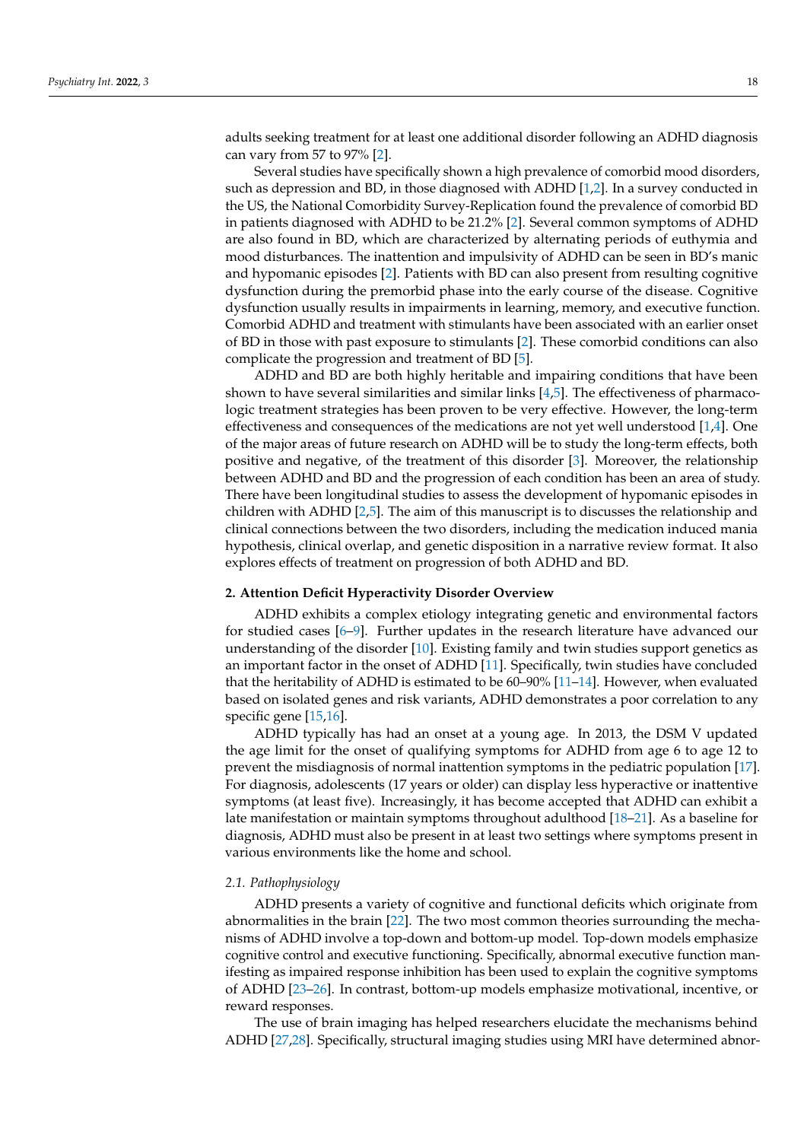adults seeking treatment for at least one additional disorder following an ADHD diagnosis can vary from 57 to 97% [\[2\]](#page-9-1).

Several studies have specifically shown a high prevalence of comorbid mood disorders, such as depression and BD, in those diagnosed with ADHD [\[1,](#page-9-0)[2\]](#page-9-1). In a survey conducted in the US, the National Comorbidity Survey-Replication found the prevalence of comorbid BD in patients diagnosed with ADHD to be 21.2% [\[2\]](#page-9-1). Several common symptoms of ADHD are also found in BD, which are characterized by alternating periods of euthymia and mood disturbances. The inattention and impulsivity of ADHD can be seen in BD's manic and hypomanic episodes [\[2\]](#page-9-1). Patients with BD can also present from resulting cognitive dysfunction during the premorbid phase into the early course of the disease. Cognitive dysfunction usually results in impairments in learning, memory, and executive function. Comorbid ADHD and treatment with stimulants have been associated with an earlier onset of BD in those with past exposure to stimulants [\[2\]](#page-9-1). These comorbid conditions can also complicate the progression and treatment of BD [\[5\]](#page-9-4).

ADHD and BD are both highly heritable and impairing conditions that have been shown to have several similarities and similar links  $[4,5]$  $[4,5]$ . The effectiveness of pharmacologic treatment strategies has been proven to be very effective. However, the long-term effectiveness and consequences of the medications are not yet well understood  $[1,4]$  $[1,4]$ . One of the major areas of future research on ADHD will be to study the long-term effects, both positive and negative, of the treatment of this disorder [\[3\]](#page-9-2). Moreover, the relationship between ADHD and BD and the progression of each condition has been an area of study. There have been longitudinal studies to assess the development of hypomanic episodes in children with ADHD [\[2](#page-9-1)[,5\]](#page-9-4). The aim of this manuscript is to discusses the relationship and clinical connections between the two disorders, including the medication induced mania hypothesis, clinical overlap, and genetic disposition in a narrative review format. It also explores effects of treatment on progression of both ADHD and BD.

#### **2. Attention Deficit Hyperactivity Disorder Overview**

ADHD exhibits a complex etiology integrating genetic and environmental factors for studied cases [\[6–](#page-9-5)[9\]](#page-9-6). Further updates in the research literature have advanced our understanding of the disorder [\[10\]](#page-9-7). Existing family and twin studies support genetics as an important factor in the onset of ADHD [\[11\]](#page-9-8). Specifically, twin studies have concluded that the heritability of ADHD is estimated to be  $60-90\%$  [\[11–](#page-9-8)[14\]](#page-9-9). However, when evaluated based on isolated genes and risk variants, ADHD demonstrates a poor correlation to any specific gene [\[15](#page-9-10)[,16\]](#page-9-11).

ADHD typically has had an onset at a young age. In 2013, the DSM V updated the age limit for the onset of qualifying symptoms for ADHD from age 6 to age 12 to prevent the misdiagnosis of normal inattention symptoms in the pediatric population [\[17\]](#page-9-12). For diagnosis, adolescents (17 years or older) can display less hyperactive or inattentive symptoms (at least five). Increasingly, it has become accepted that ADHD can exhibit a late manifestation or maintain symptoms throughout adulthood [\[18](#page-9-13)[–21\]](#page-9-14). As a baseline for diagnosis, ADHD must also be present in at least two settings where symptoms present in various environments like the home and school.

#### *2.1. Pathophysiology*

ADHD presents a variety of cognitive and functional deficits which originate from abnormalities in the brain [\[22\]](#page-9-15). The two most common theories surrounding the mechanisms of ADHD involve a top-down and bottom-up model. Top-down models emphasize cognitive control and executive functioning. Specifically, abnormal executive function manifesting as impaired response inhibition has been used to explain the cognitive symptoms of ADHD [\[23](#page-9-16)[–26\]](#page-9-17). In contrast, bottom-up models emphasize motivational, incentive, or reward responses.

The use of brain imaging has helped researchers elucidate the mechanisms behind ADHD [\[27,](#page-9-18)[28\]](#page-9-19). Specifically, structural imaging studies using MRI have determined abnor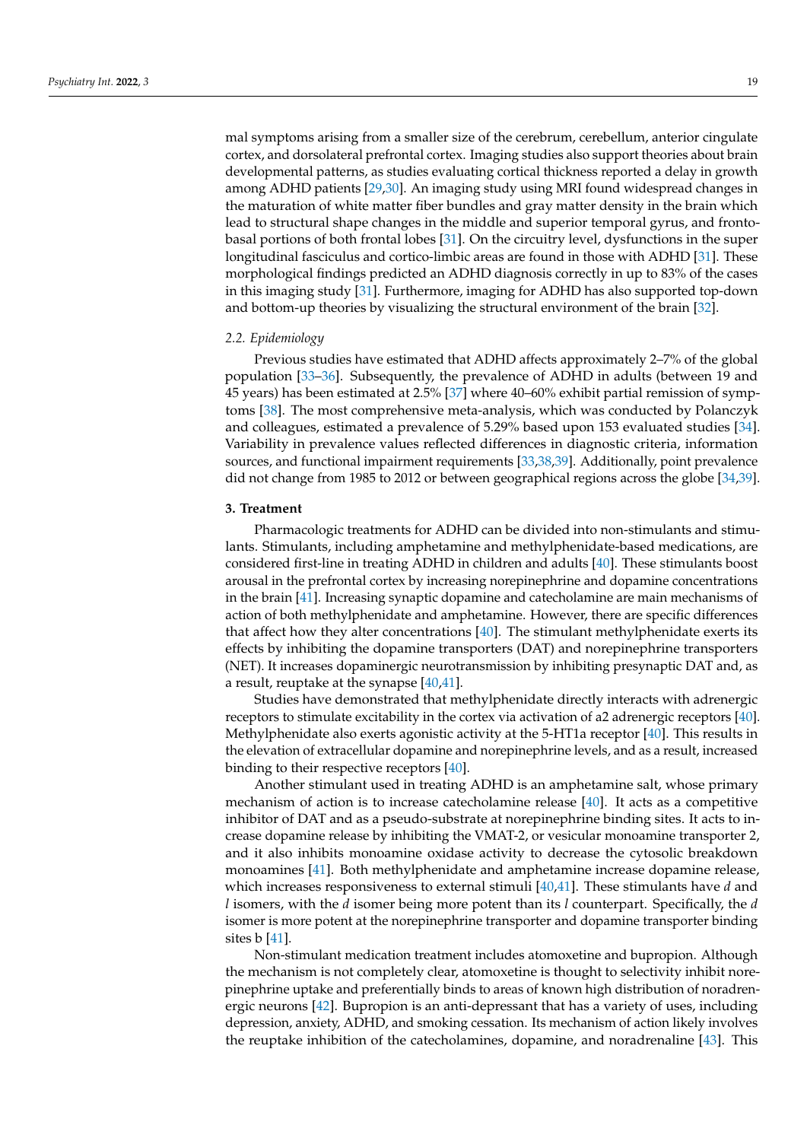mal symptoms arising from a smaller size of the cerebrum, cerebellum, anterior cingulate cortex, and dorsolateral prefrontal cortex. Imaging studies also support theories about brain developmental patterns, as studies evaluating cortical thickness reported a delay in growth among ADHD patients [\[29](#page-9-20)[,30\]](#page-9-21). An imaging study using MRI found widespread changes in the maturation of white matter fiber bundles and gray matter density in the brain which lead to structural shape changes in the middle and superior temporal gyrus, and frontobasal portions of both frontal lobes [\[31\]](#page-10-0). On the circuitry level, dysfunctions in the super longitudinal fasciculus and cortico-limbic areas are found in those with ADHD [\[31\]](#page-10-0). These morphological findings predicted an ADHD diagnosis correctly in up to 83% of the cases in this imaging study [\[31\]](#page-10-0). Furthermore, imaging for ADHD has also supported top-down and bottom-up theories by visualizing the structural environment of the brain [\[32\]](#page-10-1).

#### *2.2. Epidemiology*

Previous studies have estimated that ADHD affects approximately 2–7% of the global population [\[33](#page-10-2)[–36\]](#page-10-3). Subsequently, the prevalence of ADHD in adults (between 19 and 45 years) has been estimated at 2.5% [\[37\]](#page-10-4) where 40–60% exhibit partial remission of symptoms [\[38\]](#page-10-5). The most comprehensive meta-analysis, which was conducted by Polanczyk and colleagues, estimated a prevalence of 5.29% based upon 153 evaluated studies [\[34\]](#page-10-6). Variability in prevalence values reflected differences in diagnostic criteria, information sources, and functional impairment requirements [\[33,](#page-10-2)[38](#page-10-5)[,39\]](#page-10-7). Additionally, point prevalence did not change from 1985 to 2012 or between geographical regions across the globe [\[34](#page-10-6)[,39\]](#page-10-7).

## **3. Treatment**

Pharmacologic treatments for ADHD can be divided into non-stimulants and stimulants. Stimulants, including amphetamine and methylphenidate-based medications, are considered first-line in treating ADHD in children and adults [\[40\]](#page-10-8). These stimulants boost arousal in the prefrontal cortex by increasing norepinephrine and dopamine concentrations in the brain [\[41\]](#page-10-9). Increasing synaptic dopamine and catecholamine are main mechanisms of action of both methylphenidate and amphetamine. However, there are specific differences that affect how they alter concentrations [\[40\]](#page-10-8). The stimulant methylphenidate exerts its effects by inhibiting the dopamine transporters (DAT) and norepinephrine transporters (NET). It increases dopaminergic neurotransmission by inhibiting presynaptic DAT and, as a result, reuptake at the synapse  $[40,41]$  $[40,41]$ .

Studies have demonstrated that methylphenidate directly interacts with adrenergic receptors to stimulate excitability in the cortex via activation of a2 adrenergic receptors [\[40\]](#page-10-8). Methylphenidate also exerts agonistic activity at the 5-HT1a receptor [\[40\]](#page-10-8). This results in the elevation of extracellular dopamine and norepinephrine levels, and as a result, increased binding to their respective receptors [\[40\]](#page-10-8).

Another stimulant used in treating ADHD is an amphetamine salt, whose primary mechanism of action is to increase catecholamine release  $[40]$ . It acts as a competitive inhibitor of DAT and as a pseudo-substrate at norepinephrine binding sites. It acts to increase dopamine release by inhibiting the VMAT-2, or vesicular monoamine transporter 2, and it also inhibits monoamine oxidase activity to decrease the cytosolic breakdown monoamines [\[41\]](#page-10-9). Both methylphenidate and amphetamine increase dopamine release, which increases responsiveness to external stimuli [\[40](#page-10-8)[,41\]](#page-10-9). These stimulants have *d* and *l* isomers, with the *d* isomer being more potent than its *l* counterpart. Specifically, the *d* isomer is more potent at the norepinephrine transporter and dopamine transporter binding sites b [\[41\]](#page-10-9).

Non-stimulant medication treatment includes atomoxetine and bupropion. Although the mechanism is not completely clear, atomoxetine is thought to selectivity inhibit norepinephrine uptake and preferentially binds to areas of known high distribution of noradrenergic neurons [\[42\]](#page-10-10). Bupropion is an anti-depressant that has a variety of uses, including depression, anxiety, ADHD, and smoking cessation. Its mechanism of action likely involves the reuptake inhibition of the catecholamines, dopamine, and noradrenaline [\[43\]](#page-10-11). This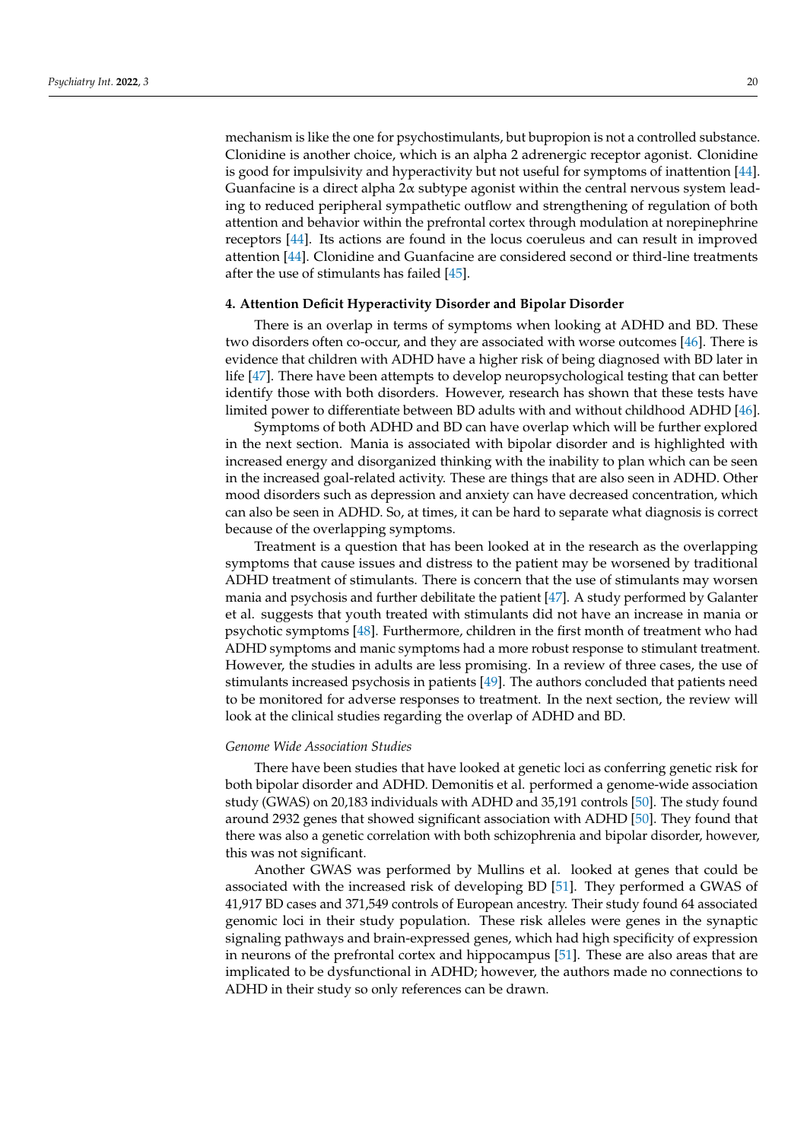mechanism is like the one for psychostimulants, but bupropion is not a controlled substance. Clonidine is another choice, which is an alpha 2 adrenergic receptor agonist. Clonidine is good for impulsivity and hyperactivity but not useful for symptoms of inattention [\[44\]](#page-10-12). Guanfacine is a direct alpha 2α subtype agonist within the central nervous system leading to reduced peripheral sympathetic outflow and strengthening of regulation of both attention and behavior within the prefrontal cortex through modulation at norepinephrine receptors [\[44\]](#page-10-12). Its actions are found in the locus coeruleus and can result in improved attention [\[44\]](#page-10-12). Clonidine and Guanfacine are considered second or third-line treatments after the use of stimulants has failed [\[45\]](#page-10-13).

## **4. Attention Deficit Hyperactivity Disorder and Bipolar Disorder**

There is an overlap in terms of symptoms when looking at ADHD and BD. These two disorders often co-occur, and they are associated with worse outcomes [\[46\]](#page-10-14). There is evidence that children with ADHD have a higher risk of being diagnosed with BD later in life [\[47\]](#page-10-15). There have been attempts to develop neuropsychological testing that can better identify those with both disorders. However, research has shown that these tests have limited power to differentiate between BD adults with and without childhood ADHD [\[46\]](#page-10-14).

Symptoms of both ADHD and BD can have overlap which will be further explored in the next section. Mania is associated with bipolar disorder and is highlighted with increased energy and disorganized thinking with the inability to plan which can be seen in the increased goal-related activity. These are things that are also seen in ADHD. Other mood disorders such as depression and anxiety can have decreased concentration, which can also be seen in ADHD. So, at times, it can be hard to separate what diagnosis is correct because of the overlapping symptoms.

Treatment is a question that has been looked at in the research as the overlapping symptoms that cause issues and distress to the patient may be worsened by traditional ADHD treatment of stimulants. There is concern that the use of stimulants may worsen mania and psychosis and further debilitate the patient [\[47\]](#page-10-15). A study performed by Galanter et al. suggests that youth treated with stimulants did not have an increase in mania or psychotic symptoms [\[48\]](#page-10-16). Furthermore, children in the first month of treatment who had ADHD symptoms and manic symptoms had a more robust response to stimulant treatment. However, the studies in adults are less promising. In a review of three cases, the use of stimulants increased psychosis in patients [\[49\]](#page-10-17). The authors concluded that patients need to be monitored for adverse responses to treatment. In the next section, the review will look at the clinical studies regarding the overlap of ADHD and BD.

## *Genome Wide Association Studies*

There have been studies that have looked at genetic loci as conferring genetic risk for both bipolar disorder and ADHD. Demonitis et al. performed a genome-wide association study (GWAS) on 20,183 individuals with ADHD and 35,191 controls [\[50\]](#page-10-18). The study found around 2932 genes that showed significant association with ADHD [\[50\]](#page-10-18). They found that there was also a genetic correlation with both schizophrenia and bipolar disorder, however, this was not significant.

Another GWAS was performed by Mullins et al. looked at genes that could be associated with the increased risk of developing BD [\[51\]](#page-10-19). They performed a GWAS of 41,917 BD cases and 371,549 controls of European ancestry. Their study found 64 associated genomic loci in their study population. These risk alleles were genes in the synaptic signaling pathways and brain-expressed genes, which had high specificity of expression in neurons of the prefrontal cortex and hippocampus [\[51\]](#page-10-19). These are also areas that are implicated to be dysfunctional in ADHD; however, the authors made no connections to ADHD in their study so only references can be drawn.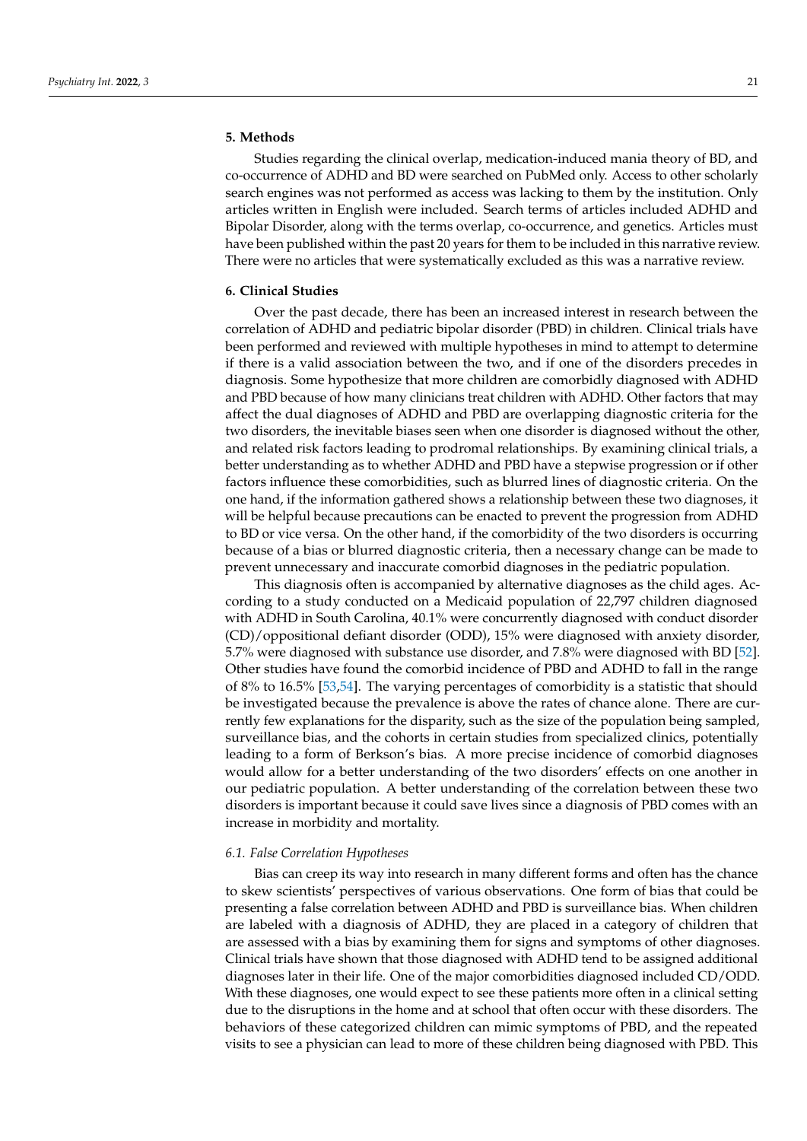## **5. Methods**

Studies regarding the clinical overlap, medication-induced mania theory of BD, and co-occurrence of ADHD and BD were searched on PubMed only. Access to other scholarly search engines was not performed as access was lacking to them by the institution. Only articles written in English were included. Search terms of articles included ADHD and Bipolar Disorder, along with the terms overlap, co-occurrence, and genetics. Articles must have been published within the past 20 years for them to be included in this narrative review. There were no articles that were systematically excluded as this was a narrative review.

#### **6. Clinical Studies**

Over the past decade, there has been an increased interest in research between the correlation of ADHD and pediatric bipolar disorder (PBD) in children. Clinical trials have been performed and reviewed with multiple hypotheses in mind to attempt to determine if there is a valid association between the two, and if one of the disorders precedes in diagnosis. Some hypothesize that more children are comorbidly diagnosed with ADHD and PBD because of how many clinicians treat children with ADHD. Other factors that may affect the dual diagnoses of ADHD and PBD are overlapping diagnostic criteria for the two disorders, the inevitable biases seen when one disorder is diagnosed without the other, and related risk factors leading to prodromal relationships. By examining clinical trials, a better understanding as to whether ADHD and PBD have a stepwise progression or if other factors influence these comorbidities, such as blurred lines of diagnostic criteria. On the one hand, if the information gathered shows a relationship between these two diagnoses, it will be helpful because precautions can be enacted to prevent the progression from ADHD to BD or vice versa. On the other hand, if the comorbidity of the two disorders is occurring because of a bias or blurred diagnostic criteria, then a necessary change can be made to prevent unnecessary and inaccurate comorbid diagnoses in the pediatric population.

This diagnosis often is accompanied by alternative diagnoses as the child ages. According to a study conducted on a Medicaid population of 22,797 children diagnosed with ADHD in South Carolina, 40.1% were concurrently diagnosed with conduct disorder (CD)/oppositional defiant disorder (ODD), 15% were diagnosed with anxiety disorder, 5.7% were diagnosed with substance use disorder, and 7.8% were diagnosed with BD [\[52\]](#page-10-20). Other studies have found the comorbid incidence of PBD and ADHD to fall in the range of 8% to 16.5% [\[53](#page-10-21)[,54\]](#page-10-22). The varying percentages of comorbidity is a statistic that should be investigated because the prevalence is above the rates of chance alone. There are currently few explanations for the disparity, such as the size of the population being sampled, surveillance bias, and the cohorts in certain studies from specialized clinics, potentially leading to a form of Berkson's bias. A more precise incidence of comorbid diagnoses would allow for a better understanding of the two disorders' effects on one another in our pediatric population. A better understanding of the correlation between these two disorders is important because it could save lives since a diagnosis of PBD comes with an increase in morbidity and mortality.

#### *6.1. False Correlation Hypotheses*

Bias can creep its way into research in many different forms and often has the chance to skew scientists' perspectives of various observations. One form of bias that could be presenting a false correlation between ADHD and PBD is surveillance bias. When children are labeled with a diagnosis of ADHD, they are placed in a category of children that are assessed with a bias by examining them for signs and symptoms of other diagnoses. Clinical trials have shown that those diagnosed with ADHD tend to be assigned additional diagnoses later in their life. One of the major comorbidities diagnosed included CD/ODD. With these diagnoses, one would expect to see these patients more often in a clinical setting due to the disruptions in the home and at school that often occur with these disorders. The behaviors of these categorized children can mimic symptoms of PBD, and the repeated visits to see a physician can lead to more of these children being diagnosed with PBD. This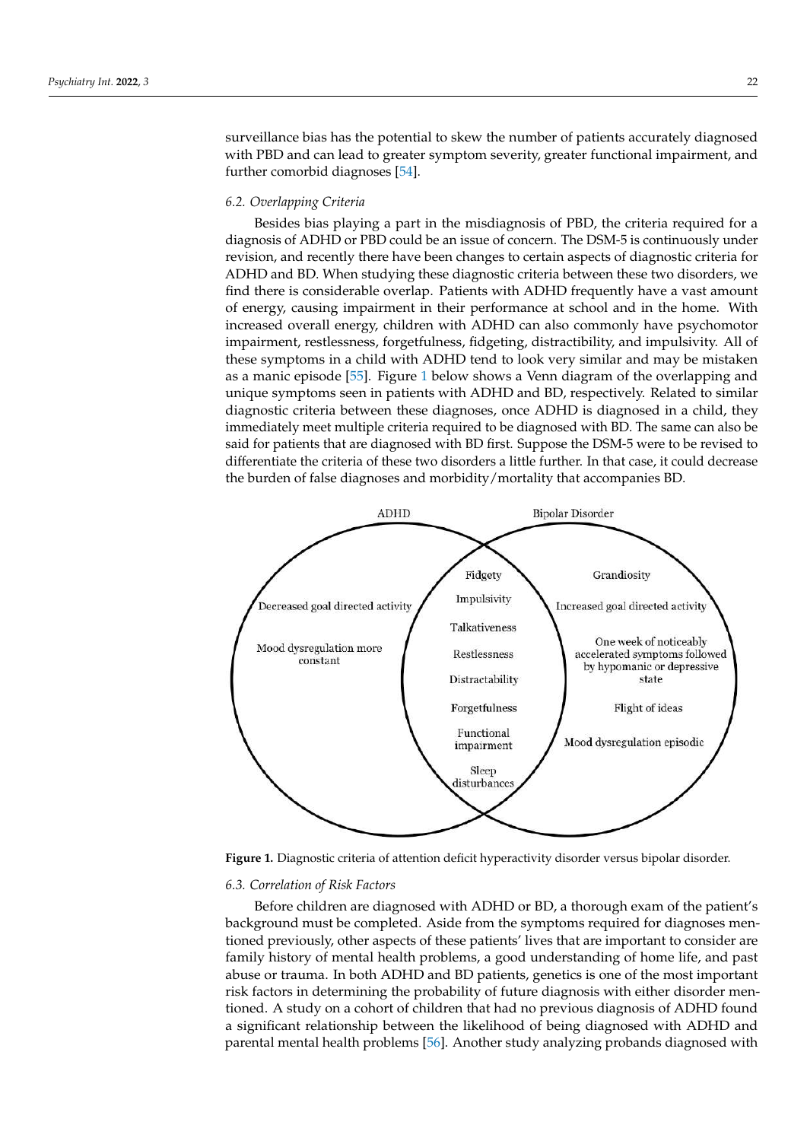surveillance bias has the potential to skew the number of patients accurately diagnosed with PBD and can lead to greater symptom severity, greater functional impairment, and further comorbid diagnoses [\[54\]](#page-10-22).

## *6.2. Overlapping Criteria*

Besides bias playing a part in the misdiagnosis of PBD, the criteria required for a diagnosis of ADHD or PBD could be an issue of concern. The DSM-5 is continuously under revision, and recently there have been changes to certain aspects of diagnostic criteria for ADHD and BD. When studying these diagnostic criteria between these two disorders, we find there is considerable overlap. Patients with ADHD frequently have a vast amount of energy, causing impairment in their performance at school and in the home. With increased overall energy, children with ADHD can also commonly have psychomotor impairment, restlessness, forgetfulness, fidgeting, distractibility, and impulsivity. All of these symptoms in a child with ADHD tend to look very similar and may be mistaken as a manic episode [\[55\]](#page-10-23). Figure [1](#page-5-0) below shows a Venn diagram of the overlapping and unique symptoms seen in patients with ADHD and BD, respectively. Related to similar diagnostic criteria between these diagnoses, once ADHD is diagnosed in a child, they immediately meet multiple criteria required to be diagnosed with BD. The same can also be said for patients that are diagnosed with BD first. Suppose the DSM-5 were to be revised to differentiate the criteria of these two disorders a little further. In that case, it could decrease the burden of false diagnoses and morbidity/mortality that accompanies BD.

<span id="page-5-0"></span>

**Figure 1.** Diagnostic criteria of attention deficit hyperactivity disorder versus bipolar disorder. **Figure 1.** Diagnostic criteria of attention deficit hyperactivity disorder versus bipolar disorder.

## *6.3. Correlation of Risk Factors 6.3. Correlation of Risk Factors*

Before children are diagnosed with ADHD or BD, a thorough exam of the patient's Before children are diagnosed with ADHD or BD, a thorough exam of the patient's background must be completed. Aside from the symptoms required for diagnoses men-background must be completed. Aside from the symptoms required for diagnoses mentioned previously, other aspects of these patients' lives that are important to consider are tioned previously, other aspects of these patients' lives that are important to consider are family history of mental health problems, a good understanding of home life, and past abuse or trauma. In both ADHD and BD patients, genetics is one of the most important abuse or trauma. In both ADHD and BD patients, genetics is one of the most important risk factors in determining the probability of future diagnosis with either disorder men-risk factors in determining the probability of future diagnosis with either disorder mentioned. A study on a cohort of children that had no previous diagnosis of ADHD found a significant relationship between the likelihood of being diagnosed with ADHD and parental mental health problems [\[56\]](#page-11-0). Another study analyzing probands diagnosed with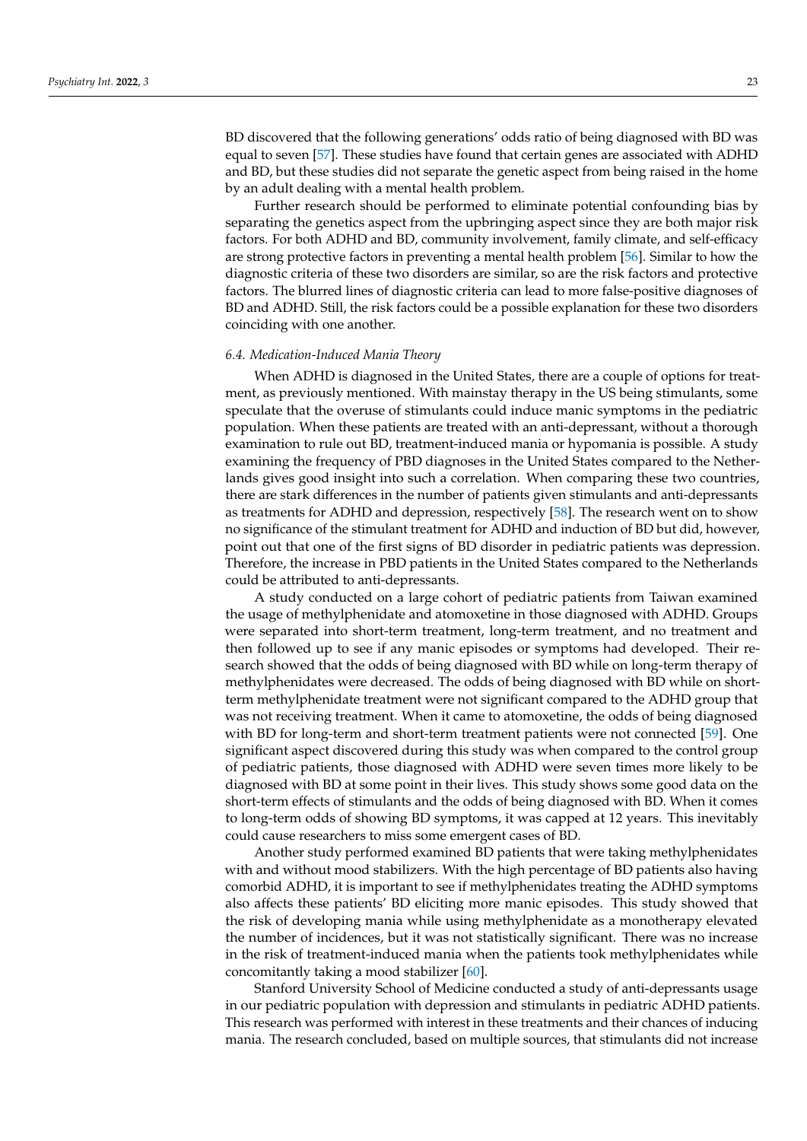BD discovered that the following generations' odds ratio of being diagnosed with BD was equal to seven [\[57\]](#page-11-1). These studies have found that certain genes are associated with ADHD and BD, but these studies did not separate the genetic aspect from being raised in the home by an adult dealing with a mental health problem.

Further research should be performed to eliminate potential confounding bias by separating the genetics aspect from the upbringing aspect since they are both major risk factors. For both ADHD and BD, community involvement, family climate, and self-efficacy are strong protective factors in preventing a mental health problem [\[56\]](#page-11-0). Similar to how the diagnostic criteria of these two disorders are similar, so are the risk factors and protective factors. The blurred lines of diagnostic criteria can lead to more false-positive diagnoses of BD and ADHD. Still, the risk factors could be a possible explanation for these two disorders coinciding with one another.

#### *6.4. Medication-Induced Mania Theory*

When ADHD is diagnosed in the United States, there are a couple of options for treatment, as previously mentioned. With mainstay therapy in the US being stimulants, some speculate that the overuse of stimulants could induce manic symptoms in the pediatric population. When these patients are treated with an anti-depressant, without a thorough examination to rule out BD, treatment-induced mania or hypomania is possible. A study examining the frequency of PBD diagnoses in the United States compared to the Netherlands gives good insight into such a correlation. When comparing these two countries, there are stark differences in the number of patients given stimulants and anti-depressants as treatments for ADHD and depression, respectively [\[58\]](#page-11-2). The research went on to show no significance of the stimulant treatment for ADHD and induction of BD but did, however, point out that one of the first signs of BD disorder in pediatric patients was depression. Therefore, the increase in PBD patients in the United States compared to the Netherlands could be attributed to anti-depressants.

A study conducted on a large cohort of pediatric patients from Taiwan examined the usage of methylphenidate and atomoxetine in those diagnosed with ADHD. Groups were separated into short-term treatment, long-term treatment, and no treatment and then followed up to see if any manic episodes or symptoms had developed. Their research showed that the odds of being diagnosed with BD while on long-term therapy of methylphenidates were decreased. The odds of being diagnosed with BD while on shortterm methylphenidate treatment were not significant compared to the ADHD group that was not receiving treatment. When it came to atomoxetine, the odds of being diagnosed with BD for long-term and short-term treatment patients were not connected [\[59\]](#page-11-3). One significant aspect discovered during this study was when compared to the control group of pediatric patients, those diagnosed with ADHD were seven times more likely to be diagnosed with BD at some point in their lives. This study shows some good data on the short-term effects of stimulants and the odds of being diagnosed with BD. When it comes to long-term odds of showing BD symptoms, it was capped at 12 years. This inevitably could cause researchers to miss some emergent cases of BD.

Another study performed examined BD patients that were taking methylphenidates with and without mood stabilizers. With the high percentage of BD patients also having comorbid ADHD, it is important to see if methylphenidates treating the ADHD symptoms also affects these patients' BD eliciting more manic episodes. This study showed that the risk of developing mania while using methylphenidate as a monotherapy elevated the number of incidences, but it was not statistically significant. There was no increase in the risk of treatment-induced mania when the patients took methylphenidates while concomitantly taking a mood stabilizer [\[60\]](#page-11-4).

Stanford University School of Medicine conducted a study of anti-depressants usage in our pediatric population with depression and stimulants in pediatric ADHD patients. This research was performed with interest in these treatments and their chances of inducing mania. The research concluded, based on multiple sources, that stimulants did not increase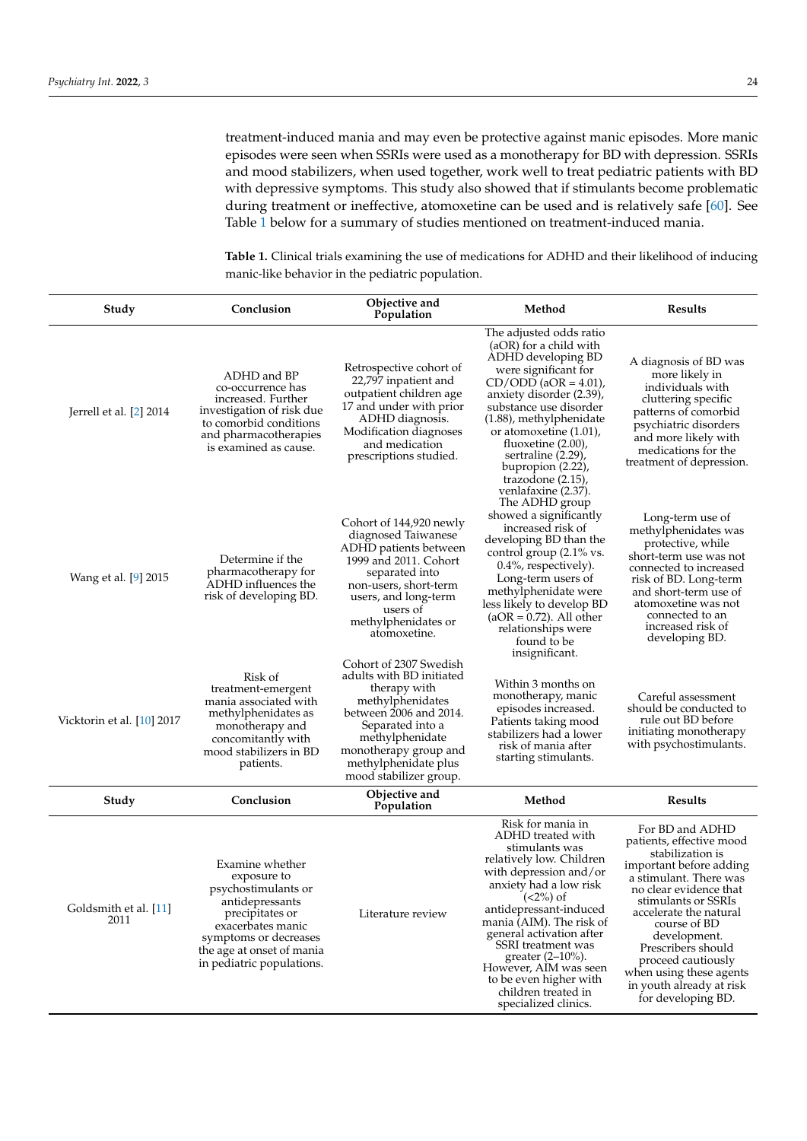treatment-induced mania and may even be protective against manic episodes. More manic episodes were seen when SSRIs were used as a monotherapy for BD with depression. SSRIs and mood stabilizers, when used together, work well to treat pediatric patients with BD with depressive symptoms. This study also showed that if stimulants become problematic during treatment or ineffective, atomoxetine can be used and is relatively safe [\[60\]](#page-11-4). See Table [1](#page-7-0) below for a summary of studies mentioned on treatment-induced mania.

**Study Conclusion Objective and Population Method Results** Jerrell et al. [\[2\]](#page-9-1) 2014 ADHD and BP co-occurrence has increased. Further investigation of risk due to comorbid conditions and pharmacotherapies is examined as cause. Retrospective cohort of 22,797 inpatient and outpatient children age 17 and under with prior ADHD diagnosis. Modification diagnoses and medication prescriptions studied. The adjusted odds ratio (aOR) for a child with ADHD developing BD were significant for  $CD/ODD$  (aOR = 4.01) anxiety disorder (2.39), substance use disorder (1.88), methylphenidate or atomoxetine (1.01), fluoxetine  $(2.00)$ , sertraline (2.29) bupropion (2.22), trazodone (2.15), venlafaxine (2.37). A diagnosis of BD was more likely in individuals with cluttering specific patterns of comorbid psychiatric disorders and more likely with medications for the treatment of depression. Wang et al. [\[9\]](#page-9-6) 2015 Determine if the pharmacotherapy for ADHD influences the risk of developing BD. Cohort of 144,920 newly diagnosed Taiwanese ADHD patients between 1999 and 2011. Cohort separated into non-users, short-term users, and long-term users of methylphenidates or atomoxetine. The ADHD group showed a significantly increased risk of developing BD than the control group (2.1% vs. 0.4%, respectively). Long-term users of methylphenidate were less likely to develop BD  $(aOR = 0.72)$ . All other relationships were found to be insignificant. Long-term use of methylphenidates was protective, while short-term use was not connected to increased risk of BD. Long-term and short-term use of atomoxetine was not connected to an increased risk of developing BD. Vicktorin et al. [\[10\]](#page-9-7) 2017 Risk of treatment-emergent mania associated with methylphenidates as monotherapy and concomitantly with mood stabilizers in BD patients. Cohort of 2307 Swedish adults with BD initiated therapy with methylphenidates between 2006 and 2014. Separated into a methylphenidate monotherapy group and methylphenidate plus mood stabilizer group. Within 3 months on monotherapy, manic episodes increased. Patients taking mood stabilizers had a lower risk of mania after starting stimulants. Careful assessment should be conducted to rule out BD before initiating monotherapy with psychostimulants. **Study Conclusion Objective and Population Method Results** Goldsmith et al. [\[11\]](#page-9-8) 2011 Examine whether exposure to psychostimulants or antidepressants precipitates or exacerbates manic symptoms or decreases the age at onset of mania in pediatric populations. Literature review Risk for mania in ADHD treated with stimulants was relatively low. Children with depression and/or anxiety had a low risk  $\left(\langle 2\% \rangle \text{ of }\right)$ antidepressant-induced mania (AIM). The risk of general activation after SSRI treatment was greater (2–10%). However, AIM was seen to be even higher with children treated in specialized clinics. For BD and ADHD patients, effective mood stabilization is important before adding a stimulant. There was no clear evidence that stimulants or SSRIs accelerate the natural course of BD development. Prescribers should proceed cautiously when using these agents in youth already at risk for developing BD.

<span id="page-7-0"></span>**Table 1.** Clinical trials examining the use of medications for ADHD and their likelihood of inducing manic-like behavior in the pediatric population.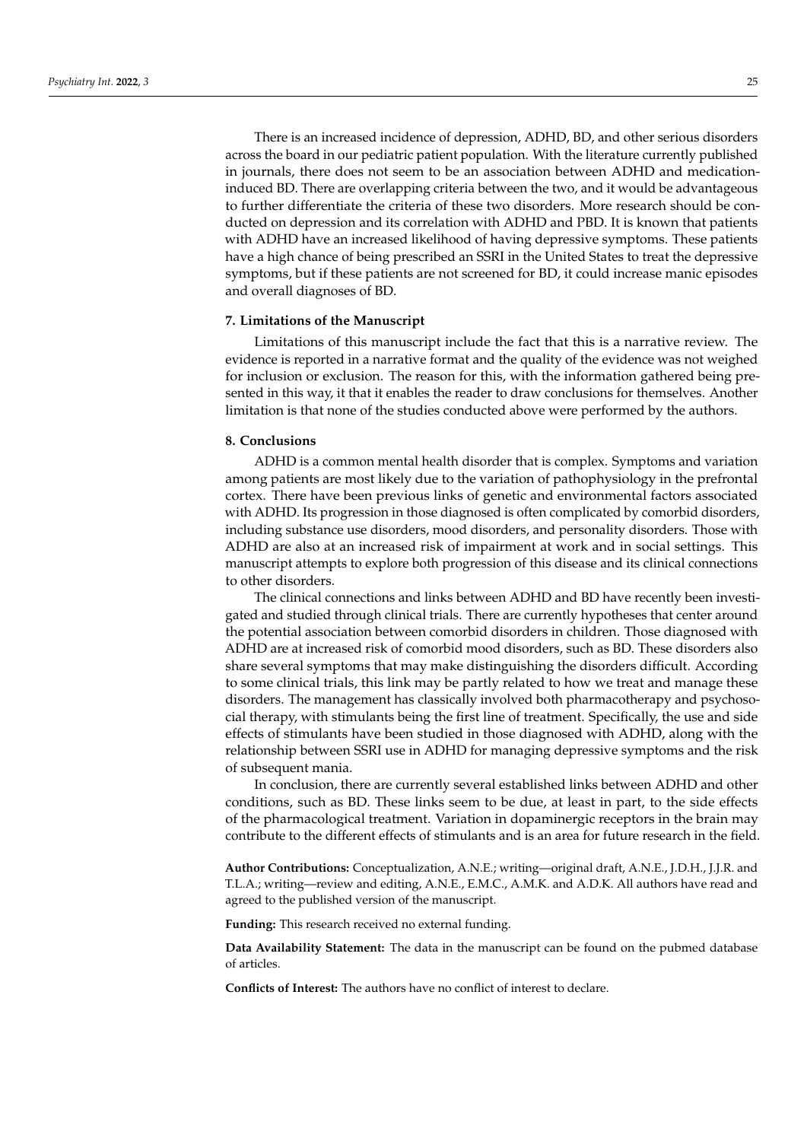There is an increased incidence of depression, ADHD, BD, and other serious disorders across the board in our pediatric patient population. With the literature currently published in journals, there does not seem to be an association between ADHD and medicationinduced BD. There are overlapping criteria between the two, and it would be advantageous to further differentiate the criteria of these two disorders. More research should be conducted on depression and its correlation with ADHD and PBD. It is known that patients with ADHD have an increased likelihood of having depressive symptoms. These patients have a high chance of being prescribed an SSRI in the United States to treat the depressive symptoms, but if these patients are not screened for BD, it could increase manic episodes and overall diagnoses of BD.

## **7. Limitations of the Manuscript**

Limitations of this manuscript include the fact that this is a narrative review. The evidence is reported in a narrative format and the quality of the evidence was not weighed for inclusion or exclusion. The reason for this, with the information gathered being presented in this way, it that it enables the reader to draw conclusions for themselves. Another limitation is that none of the studies conducted above were performed by the authors.

## **8. Conclusions**

ADHD is a common mental health disorder that is complex. Symptoms and variation among patients are most likely due to the variation of pathophysiology in the prefrontal cortex. There have been previous links of genetic and environmental factors associated with ADHD. Its progression in those diagnosed is often complicated by comorbid disorders, including substance use disorders, mood disorders, and personality disorders. Those with ADHD are also at an increased risk of impairment at work and in social settings. This manuscript attempts to explore both progression of this disease and its clinical connections to other disorders.

The clinical connections and links between ADHD and BD have recently been investigated and studied through clinical trials. There are currently hypotheses that center around the potential association between comorbid disorders in children. Those diagnosed with ADHD are at increased risk of comorbid mood disorders, such as BD. These disorders also share several symptoms that may make distinguishing the disorders difficult. According to some clinical trials, this link may be partly related to how we treat and manage these disorders. The management has classically involved both pharmacotherapy and psychosocial therapy, with stimulants being the first line of treatment. Specifically, the use and side effects of stimulants have been studied in those diagnosed with ADHD, along with the relationship between SSRI use in ADHD for managing depressive symptoms and the risk of subsequent mania.

In conclusion, there are currently several established links between ADHD and other conditions, such as BD. These links seem to be due, at least in part, to the side effects of the pharmacological treatment. Variation in dopaminergic receptors in the brain may contribute to the different effects of stimulants and is an area for future research in the field.

**Author Contributions:** Conceptualization, A.N.E.; writing—original draft, A.N.E., J.D.H., J.J.R. and T.L.A.; writing—review and editing, A.N.E., E.M.C., A.M.K. and A.D.K. All authors have read and agreed to the published version of the manuscript.

**Funding:** This research received no external funding.

**Data Availability Statement:** The data in the manuscript can be found on the pubmed database of articles.

**Conflicts of Interest:** The authors have no conflict of interest to declare.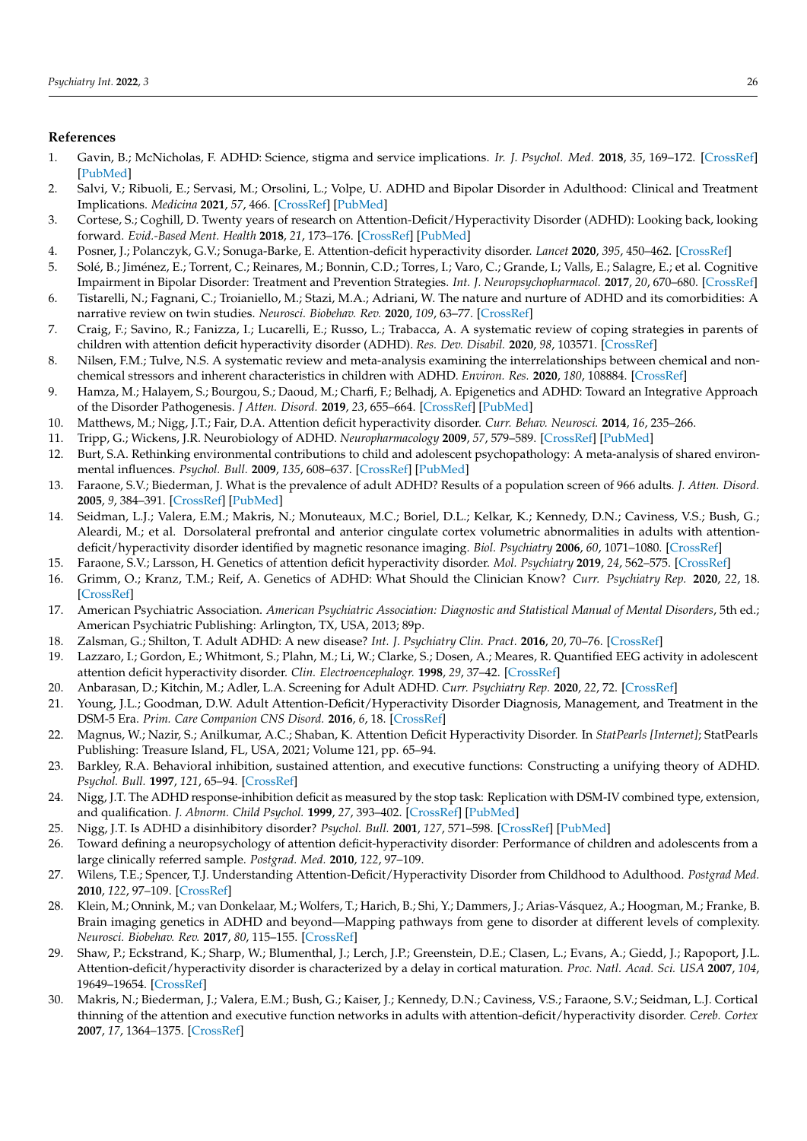## **References**

- <span id="page-9-0"></span>1. Gavin, B.; McNicholas, F. ADHD: Science, stigma and service implications. *Ir. J. Psychol. Med.* **2018**, *35*, 169–172. [\[CrossRef\]](http://doi.org/10.1017/ipm.2018.20) [\[PubMed\]](http://www.ncbi.nlm.nih.gov/pubmed/30124189)
- <span id="page-9-1"></span>2. Salvi, V.; Ribuoli, E.; Servasi, M.; Orsolini, L.; Volpe, U. ADHD and Bipolar Disorder in Adulthood: Clinical and Treatment Implications. *Medicina* **2021**, *57*, 466. [\[CrossRef\]](http://doi.org/10.3390/medicina57050466) [\[PubMed\]](http://www.ncbi.nlm.nih.gov/pubmed/34068605)
- <span id="page-9-2"></span>3. Cortese, S.; Coghill, D. Twenty years of research on Attention-Deficit/Hyperactivity Disorder (ADHD): Looking back, looking forward. *Evid.-Based Ment. Health* **2018**, *21*, 173–176. [\[CrossRef\]](http://doi.org/10.1136/ebmental-2018-300050) [\[PubMed\]](http://www.ncbi.nlm.nih.gov/pubmed/30301823)
- <span id="page-9-3"></span>4. Posner, J.; Polanczyk, G.V.; Sonuga-Barke, E. Attention-deficit hyperactivity disorder. *Lancet* **2020**, *395*, 450–462. [\[CrossRef\]](http://doi.org/10.1016/S0140-6736(19)33004-1)
- <span id="page-9-4"></span>5. Solé, B.; Jiménez, E.; Torrent, C.; Reinares, M.; Bonnin, C.D.; Torres, I.; Varo, C.; Grande, I.; Valls, E.; Salagre, E.; et al. Cognitive Impairment in Bipolar Disorder: Treatment and Prevention Strategies. *Int. J. Neuropsychopharmacol.* **2017**, *20*, 670–680. [\[CrossRef\]](http://doi.org/10.1093/ijnp/pyx032)
- <span id="page-9-5"></span>6. Tistarelli, N.; Fagnani, C.; Troianiello, M.; Stazi, M.A.; Adriani, W. The nature and nurture of ADHD and its comorbidities: A narrative review on twin studies. *Neurosci. Biobehav. Rev.* **2020**, *109*, 63–77. [\[CrossRef\]](http://doi.org/10.1016/j.neubiorev.2019.12.017)
- 7. Craig, F.; Savino, R.; Fanizza, I.; Lucarelli, E.; Russo, L.; Trabacca, A. A systematic review of coping strategies in parents of children with attention deficit hyperactivity disorder (ADHD). *Res. Dev. Disabil.* **2020**, *98*, 103571. [\[CrossRef\]](http://doi.org/10.1016/j.ridd.2020.103571)
- 8. Nilsen, F.M.; Tulve, N.S. A systematic review and meta-analysis examining the interrelationships between chemical and nonchemical stressors and inherent characteristics in children with ADHD. *Environ. Res.* **2020**, *180*, 108884. [\[CrossRef\]](http://doi.org/10.1016/j.envres.2019.108884)
- <span id="page-9-6"></span>9. Hamza, M.; Halayem, S.; Bourgou, S.; Daoud, M.; Charfi, F.; Belhadj, A. Epigenetics and ADHD: Toward an Integrative Approach of the Disorder Pathogenesis. *J Atten. Disord.* **2019**, *23*, 655–664. [\[CrossRef\]](http://doi.org/10.1177/1087054717696769) [\[PubMed\]](http://www.ncbi.nlm.nih.gov/pubmed/28665177)
- <span id="page-9-7"></span>10. Matthews, M.; Nigg, J.T.; Fair, D.A. Attention deficit hyperactivity disorder. *Curr. Behav. Neurosci.* **2014**, *16*, 235–266.
- <span id="page-9-8"></span>11. Tripp, G.; Wickens, J.R. Neurobiology of ADHD. *Neuropharmacology* **2009**, *57*, 579–589. [\[CrossRef\]](http://doi.org/10.1016/j.neuropharm.2009.07.026) [\[PubMed\]](http://www.ncbi.nlm.nih.gov/pubmed/19627998)
- 12. Burt, S.A. Rethinking environmental contributions to child and adolescent psychopathology: A meta-analysis of shared environmental influences. *Psychol. Bull.* **2009**, *135*, 608–637. [\[CrossRef\]](http://doi.org/10.1037/a0015702) [\[PubMed\]](http://www.ncbi.nlm.nih.gov/pubmed/19586164)
- 13. Faraone, S.V.; Biederman, J. What is the prevalence of adult ADHD? Results of a population screen of 966 adults. *J. Atten. Disord.* **2005**, *9*, 384–391. [\[CrossRef\]](http://doi.org/10.1177/1087054705281478) [\[PubMed\]](http://www.ncbi.nlm.nih.gov/pubmed/16371661)
- <span id="page-9-9"></span>14. Seidman, L.J.; Valera, E.M.; Makris, N.; Monuteaux, M.C.; Boriel, D.L.; Kelkar, K.; Kennedy, D.N.; Caviness, V.S.; Bush, G.; Aleardi, M.; et al. Dorsolateral prefrontal and anterior cingulate cortex volumetric abnormalities in adults with attentiondeficit/hyperactivity disorder identified by magnetic resonance imaging. *Biol. Psychiatry* **2006**, *60*, 1071–1080. [\[CrossRef\]](http://doi.org/10.1016/j.biopsych.2006.04.031)
- <span id="page-9-10"></span>15. Faraone, S.V.; Larsson, H. Genetics of attention deficit hyperactivity disorder. *Mol. Psychiatry* **2019**, *24*, 562–575. [\[CrossRef\]](http://doi.org/10.1038/s41380-018-0070-0)
- <span id="page-9-11"></span>16. Grimm, O.; Kranz, T.M.; Reif, A. Genetics of ADHD: What Should the Clinician Know? *Curr. Psychiatry Rep.* **2020**, *22*, 18. [\[CrossRef\]](http://doi.org/10.1007/s11920-020-1141-x)
- <span id="page-9-12"></span>17. American Psychiatric Association. *American Psychiatric Association: Diagnostic and Statistical Manual of Mental Disorders*, 5th ed.; American Psychiatric Publishing: Arlington, TX, USA, 2013; 89p.
- <span id="page-9-13"></span>18. Zalsman, G.; Shilton, T. Adult ADHD: A new disease? *Int. J. Psychiatry Clin. Pract.* **2016**, *20*, 70–76. [\[CrossRef\]](http://doi.org/10.3109/13651501.2016.1149197)
- 19. Lazzaro, I.; Gordon, E.; Whitmont, S.; Plahn, M.; Li, W.; Clarke, S.; Dosen, A.; Meares, R. Quantified EEG activity in adolescent attention deficit hyperactivity disorder. *Clin. Electroencephalogr.* **1998**, *29*, 37–42. [\[CrossRef\]](http://doi.org/10.1177/155005949802900111)
- 20. Anbarasan, D.; Kitchin, M.; Adler, L.A. Screening for Adult ADHD. *Curr. Psychiatry Rep.* **2020**, *22*, 72. [\[CrossRef\]](http://doi.org/10.1007/s11920-020-01194-9)
- <span id="page-9-14"></span>21. Young, J.L.; Goodman, D.W. Adult Attention-Deficit/Hyperactivity Disorder Diagnosis, Management, and Treatment in the DSM-5 Era. *Prim. Care Companion CNS Disord.* **2016**, *6*, 18. [\[CrossRef\]](http://doi.org/10.4088/PCC.16r02000)
- <span id="page-9-15"></span>22. Magnus, W.; Nazir, S.; Anilkumar, A.C.; Shaban, K. Attention Deficit Hyperactivity Disorder. In *StatPearls [Internet]*; StatPearls Publishing: Treasure Island, FL, USA, 2021; Volume 121, pp. 65–94.
- <span id="page-9-16"></span>23. Barkley, R.A. Behavioral inhibition, sustained attention, and executive functions: Constructing a unifying theory of ADHD. *Psychol. Bull.* **1997**, *121*, 65–94. [\[CrossRef\]](http://doi.org/10.1037/0033-2909.121.1.65)
- 24. Nigg, J.T. The ADHD response-inhibition deficit as measured by the stop task: Replication with DSM-IV combined type, extension, and qualification. *J. Abnorm. Child Psychol.* **1999**, *27*, 393–402. [\[CrossRef\]](http://doi.org/10.1023/A:1021980002473) [\[PubMed\]](http://www.ncbi.nlm.nih.gov/pubmed/10582840)
- 25. Nigg, J.T. Is ADHD a disinhibitory disorder? *Psychol. Bull.* **2001**, *127*, 571–598. [\[CrossRef\]](http://doi.org/10.1037/0033-2909.127.5.571) [\[PubMed\]](http://www.ncbi.nlm.nih.gov/pubmed/11548968)
- <span id="page-9-17"></span>26. Toward defining a neuropsychology of attention deficit-hyperactivity disorder: Performance of children and adolescents from a large clinically referred sample. *Postgrad. Med.* **2010**, *122*, 97–109.
- <span id="page-9-18"></span>27. Wilens, T.E.; Spencer, T.J. Understanding Attention-Deficit/Hyperactivity Disorder from Childhood to Adulthood. *Postgrad Med.* **2010**, *122*, 97–109. [\[CrossRef\]](http://doi.org/10.3810/pgm.2010.09.2206)
- <span id="page-9-19"></span>28. Klein, M.; Onnink, M.; van Donkelaar, M.; Wolfers, T.; Harich, B.; Shi, Y.; Dammers, J.; Arias-Vásquez, A.; Hoogman, M.; Franke, B. Brain imaging genetics in ADHD and beyond—Mapping pathways from gene to disorder at different levels of complexity. *Neurosci. Biobehav. Rev.* **2017**, *80*, 115–155. [\[CrossRef\]](http://doi.org/10.1016/j.neubiorev.2017.01.013)
- <span id="page-9-20"></span>29. Shaw, P.; Eckstrand, K.; Sharp, W.; Blumenthal, J.; Lerch, J.P.; Greenstein, D.E.; Clasen, L.; Evans, A.; Giedd, J.; Rapoport, J.L. Attention-deficit/hyperactivity disorder is characterized by a delay in cortical maturation. *Proc. Natl. Acad. Sci. USA* **2007**, *104*, 19649–19654. [\[CrossRef\]](http://doi.org/10.1073/pnas.0707741104)
- <span id="page-9-21"></span>30. Makris, N.; Biederman, J.; Valera, E.M.; Bush, G.; Kaiser, J.; Kennedy, D.N.; Caviness, V.S.; Faraone, S.V.; Seidman, L.J. Cortical thinning of the attention and executive function networks in adults with attention-deficit/hyperactivity disorder. *Cereb. Cortex* **2007**, *17*, 1364–1375. [\[CrossRef\]](http://doi.org/10.1093/cercor/bhl047)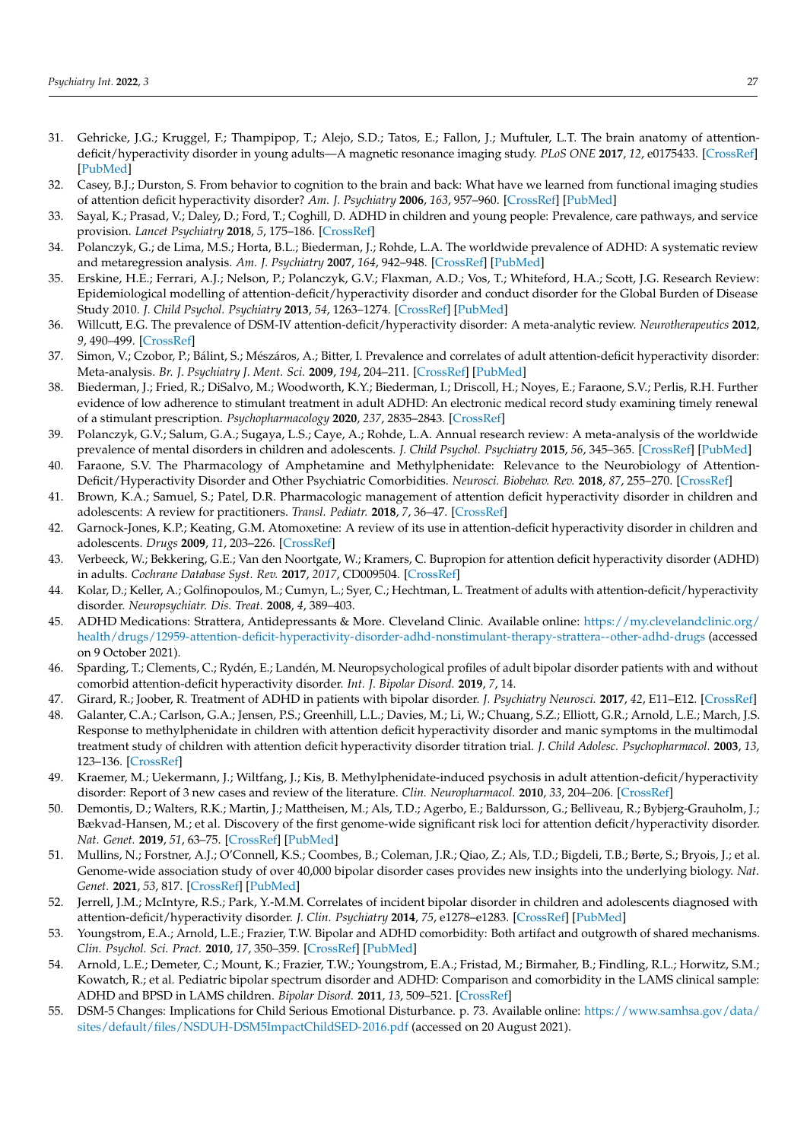- <span id="page-10-0"></span>31. Gehricke, J.G.; Kruggel, F.; Thampipop, T.; Alejo, S.D.; Tatos, E.; Fallon, J.; Muftuler, L.T. The brain anatomy of attentiondeficit/hyperactivity disorder in young adults—A magnetic resonance imaging study. *PLoS ONE* **2017**, *12*, e0175433. [\[CrossRef\]](http://doi.org/10.1371/journal.pone.0175433) [\[PubMed\]](http://www.ncbi.nlm.nih.gov/pubmed/28406942)
- <span id="page-10-1"></span>32. Casey, B.J.; Durston, S. From behavior to cognition to the brain and back: What have we learned from functional imaging studies of attention deficit hyperactivity disorder? *Am. J. Psychiatry* **2006**, *163*, 957–960. [\[CrossRef\]](http://doi.org/10.1176/ajp.2006.163.6.957) [\[PubMed\]](http://www.ncbi.nlm.nih.gov/pubmed/16741192)
- <span id="page-10-2"></span>33. Sayal, K.; Prasad, V.; Daley, D.; Ford, T.; Coghill, D. ADHD in children and young people: Prevalence, care pathways, and service provision. *Lancet Psychiatry* **2018**, *5*, 175–186. [\[CrossRef\]](http://doi.org/10.1016/S2215-0366(17)30167-0)
- <span id="page-10-6"></span>34. Polanczyk, G.; de Lima, M.S.; Horta, B.L.; Biederman, J.; Rohde, L.A. The worldwide prevalence of ADHD: A systematic review and metaregression analysis. *Am. J. Psychiatry* **2007**, *164*, 942–948. [\[CrossRef\]](http://doi.org/10.1176/ajp.2007.164.6.942) [\[PubMed\]](http://www.ncbi.nlm.nih.gov/pubmed/17541055)
- 35. Erskine, H.E.; Ferrari, A.J.; Nelson, P.; Polanczyk, G.V.; Flaxman, A.D.; Vos, T.; Whiteford, H.A.; Scott, J.G. Research Review: Epidemiological modelling of attention-deficit/hyperactivity disorder and conduct disorder for the Global Burden of Disease Study 2010. *J. Child Psychol. Psychiatry* **2013**, *54*, 1263–1274. [\[CrossRef\]](http://doi.org/10.1111/jcpp.12144) [\[PubMed\]](http://www.ncbi.nlm.nih.gov/pubmed/24117530)
- <span id="page-10-3"></span>36. Willcutt, E.G. The prevalence of DSM-IV attention-deficit/hyperactivity disorder: A meta-analytic review. *Neurotherapeutics* **2012**, *9*, 490–499. [\[CrossRef\]](http://doi.org/10.1007/s13311-012-0135-8)
- <span id="page-10-4"></span>37. Simon, V.; Czobor, P.; Bálint, S.; Mészáros, A.; Bitter, I. Prevalence and correlates of adult attention-deficit hyperactivity disorder: Meta-analysis. *Br. J. Psychiatry J. Ment. Sci.* **2009**, *194*, 204–211. [\[CrossRef\]](http://doi.org/10.1192/bjp.bp.107.048827) [\[PubMed\]](http://www.ncbi.nlm.nih.gov/pubmed/19252145)
- <span id="page-10-5"></span>38. Biederman, J.; Fried, R.; DiSalvo, M.; Woodworth, K.Y.; Biederman, I.; Driscoll, H.; Noyes, E.; Faraone, S.V.; Perlis, R.H. Further evidence of low adherence to stimulant treatment in adult ADHD: An electronic medical record study examining timely renewal of a stimulant prescription. *Psychopharmacology* **2020**, *237*, 2835–2843. [\[CrossRef\]](http://doi.org/10.1007/s00213-020-05576-y)
- <span id="page-10-7"></span>39. Polanczyk, G.V.; Salum, G.A.; Sugaya, L.S.; Caye, A.; Rohde, L.A. Annual research review: A meta-analysis of the worldwide prevalence of mental disorders in children and adolescents. *J. Child Psychol. Psychiatry* **2015**, *56*, 345–365. [\[CrossRef\]](http://doi.org/10.1111/jcpp.12381) [\[PubMed\]](http://www.ncbi.nlm.nih.gov/pubmed/25649325)
- <span id="page-10-8"></span>40. Faraone, S.V. The Pharmacology of Amphetamine and Methylphenidate: Relevance to the Neurobiology of Attention-Deficit/Hyperactivity Disorder and Other Psychiatric Comorbidities. *Neurosci. Biobehav. Rev.* **2018**, *87*, 255–270. [\[CrossRef\]](http://doi.org/10.1016/j.neubiorev.2018.02.001)
- <span id="page-10-9"></span>41. Brown, K.A.; Samuel, S.; Patel, D.R. Pharmacologic management of attention deficit hyperactivity disorder in children and adolescents: A review for practitioners. *Transl. Pediatr.* **2018**, *7*, 36–47. [\[CrossRef\]](http://doi.org/10.21037/tp.2017.08.02)
- <span id="page-10-10"></span>42. Garnock-Jones, K.P.; Keating, G.M. Atomoxetine: A review of its use in attention-deficit hyperactivity disorder in children and adolescents. *Drugs* **2009**, *11*, 203–226. [\[CrossRef\]](http://doi.org/10.2165/00148581-200911030-00005)
- <span id="page-10-11"></span>43. Verbeeck, W.; Bekkering, G.E.; Van den Noortgate, W.; Kramers, C. Bupropion for attention deficit hyperactivity disorder (ADHD) in adults. *Cochrane Database Syst. Rev.* **2017**, *2017*, CD009504. [\[CrossRef\]](http://doi.org/10.1002/14651858.CD009504.pub2)
- <span id="page-10-12"></span>44. Kolar, D.; Keller, A.; Golfinopoulos, M.; Cumyn, L.; Syer, C.; Hechtman, L. Treatment of adults with attention-deficit/hyperactivity disorder. *Neuropsychiatr. Dis. Treat.* **2008**, *4*, 389–403.
- <span id="page-10-13"></span>45. ADHD Medications: Strattera, Antidepressants & More. Cleveland Clinic. Available online: [https://my.clevelandclinic.org/](https://my.clevelandclinic.org/health/drugs/12959-attention-deficit-hyperactivity-disorder-adhd-nonstimulant-therapy-strattera--other-adhd-drugs) [health/drugs/12959-attention-deficit-hyperactivity-disorder-adhd-nonstimulant-therapy-strattera--other-adhd-drugs](https://my.clevelandclinic.org/health/drugs/12959-attention-deficit-hyperactivity-disorder-adhd-nonstimulant-therapy-strattera--other-adhd-drugs) (accessed on 9 October 2021).
- <span id="page-10-14"></span>46. Sparding, T.; Clements, C.; Rydén, E.; Landén, M. Neuropsychological profiles of adult bipolar disorder patients with and without comorbid attention-deficit hyperactivity disorder. *Int. J. Bipolar Disord.* **2019**, *7*, 14.
- <span id="page-10-15"></span>47. Girard, R.; Joober, R. Treatment of ADHD in patients with bipolar disorder. *J. Psychiatry Neurosci.* **2017**, *42*, E11–E12. [\[CrossRef\]](http://doi.org/10.1503/jpn.170097)
- <span id="page-10-16"></span>48. Galanter, C.A.; Carlson, G.A.; Jensen, P.S.; Greenhill, L.L.; Davies, M.; Li, W.; Chuang, S.Z.; Elliott, G.R.; Arnold, L.E.; March, J.S. Response to methylphenidate in children with attention deficit hyperactivity disorder and manic symptoms in the multimodal treatment study of children with attention deficit hyperactivity disorder titration trial. *J. Child Adolesc. Psychopharmacol.* **2003**, *13*, 123–136. [\[CrossRef\]](http://doi.org/10.1089/104454603322163844)
- <span id="page-10-17"></span>49. Kraemer, M.; Uekermann, J.; Wiltfang, J.; Kis, B. Methylphenidate-induced psychosis in adult attention-deficit/hyperactivity disorder: Report of 3 new cases and review of the literature. *Clin. Neuropharmacol.* **2010**, *33*, 204–206. [\[CrossRef\]](http://doi.org/10.1097/WNF.0b013e3181e29174)
- <span id="page-10-18"></span>50. Demontis, D.; Walters, R.K.; Martin, J.; Mattheisen, M.; Als, T.D.; Agerbo, E.; Baldursson, G.; Belliveau, R.; Bybjerg-Grauholm, J.; Bækvad-Hansen, M.; et al. Discovery of the first genome-wide significant risk loci for attention deficit/hyperactivity disorder. *Nat. Genet.* **2019**, *51*, 63–75. [\[CrossRef\]](http://doi.org/10.1038/s41588-018-0269-7) [\[PubMed\]](http://www.ncbi.nlm.nih.gov/pubmed/30478444)
- <span id="page-10-19"></span>51. Mullins, N.; Forstner, A.J.; O'Connell, K.S.; Coombes, B.; Coleman, J.R.; Qiao, Z.; Als, T.D.; Bigdeli, T.B.; Børte, S.; Bryois, J.; et al. Genome-wide association study of over 40,000 bipolar disorder cases provides new insights into the underlying biology. *Nat. Genet.* **2021**, *53*, 817. [\[CrossRef\]](http://doi.org/10.1038/s41588-021-00857-4) [\[PubMed\]](http://www.ncbi.nlm.nih.gov/pubmed/34002096)
- <span id="page-10-20"></span>52. Jerrell, J.M.; McIntyre, R.S.; Park, Y.-M.M. Correlates of incident bipolar disorder in children and adolescents diagnosed with attention-deficit/hyperactivity disorder. *J. Clin. Psychiatry* **2014**, *75*, e1278–e1283. [\[CrossRef\]](http://doi.org/10.4088/JCP.14m09046) [\[PubMed\]](http://www.ncbi.nlm.nih.gov/pubmed/25470092)
- <span id="page-10-21"></span>53. Youngstrom, E.A.; Arnold, L.E.; Frazier, T.W. Bipolar and ADHD comorbidity: Both artifact and outgrowth of shared mechanisms. *Clin. Psychol. Sci. Pract.* **2010**, *17*, 350–359. [\[CrossRef\]](http://doi.org/10.1111/j.1468-2850.2010.01226.x) [\[PubMed\]](http://www.ncbi.nlm.nih.gov/pubmed/21278822)
- <span id="page-10-22"></span>54. Arnold, L.E.; Demeter, C.; Mount, K.; Frazier, T.W.; Youngstrom, E.A.; Fristad, M.; Birmaher, B.; Findling, R.L.; Horwitz, S.M.; Kowatch, R.; et al. Pediatric bipolar spectrum disorder and ADHD: Comparison and comorbidity in the LAMS clinical sample: ADHD and BPSD in LAMS children. *Bipolar Disord.* **2011**, *13*, 509–521. [\[CrossRef\]](http://doi.org/10.1111/j.1399-5618.2011.00948.x)
- <span id="page-10-23"></span>55. DSM-5 Changes: Implications for Child Serious Emotional Disturbance. p. 73. Available online: [https://www.samhsa.gov/data/](https://www.samhsa.gov/data/sites/default/files/NSDUH-DSM5ImpactChildSED-2016.pdf) [sites/default/files/NSDUH-DSM5ImpactChildSED-2016.pdf](https://www.samhsa.gov/data/sites/default/files/NSDUH-DSM5ImpactChildSED-2016.pdf) (accessed on 20 August 2021).